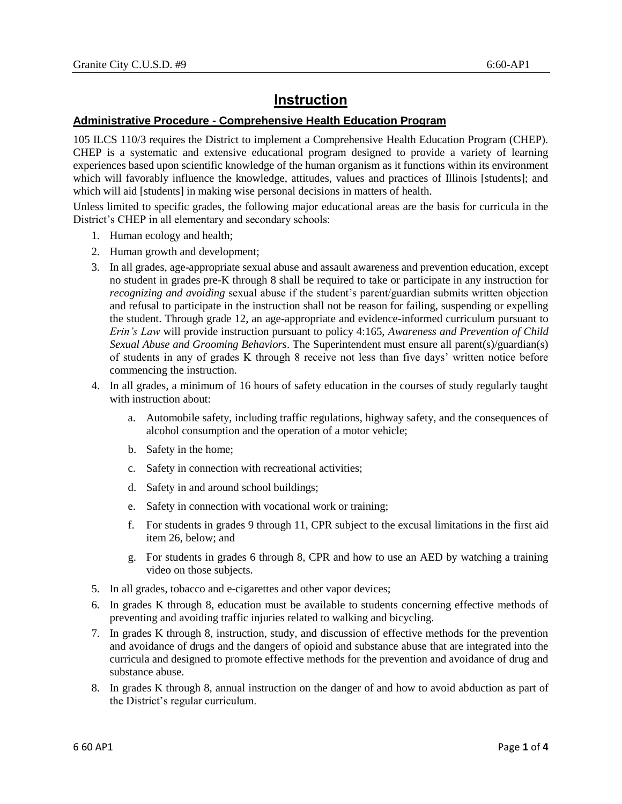## **Instruction**

## **Administrative Procedure - Comprehensive Health Education Program**

105 ILCS 110/3 requires the District to implement a Comprehensive Health Education Program (CHEP). CHEP is a systematic and extensive educational program designed to provide a variety of learning experiences based upon scientific knowledge of the human organism as it functions within its environment which will favorably influence the knowledge, attitudes, values and practices of Illinois [students]; and which will aid [students] in making wise personal decisions in matters of health.

Unless limited to specific grades, the following major educational areas are the basis for curricula in the District's CHEP in all elementary and secondary schools:

- 1. Human ecology and health;
- 2. Human growth and development;
- 3. In all grades, age-appropriate sexual abuse and assault awareness and prevention education, except no student in grades pre-K through 8 shall be required to take or participate in any instruction for *recognizing and avoiding* sexual abuse if the student's parent/guardian submits written objection and refusal to participate in the instruction shall not be reason for failing, suspending or expelling the student. Through grade 12, an age-appropriate and evidence-informed curriculum pursuant to *Erin's Law* will provide instruction pursuant to policy 4:165, *Awareness and Prevention of Child Sexual Abuse and Grooming Behaviors*. The Superintendent must ensure all parent(s)/guardian(s) of students in any of grades K through 8 receive not less than five days' written notice before commencing the instruction.
- 4. In all grades, a minimum of 16 hours of safety education in the courses of study regularly taught with instruction about:
	- a. Automobile safety, including traffic regulations, highway safety, and the consequences of alcohol consumption and the operation of a motor vehicle;
	- b. Safety in the home;
	- c. Safety in connection with recreational activities;
	- d. Safety in and around school buildings;
	- e. Safety in connection with vocational work or training;
	- f. For students in grades 9 through 11, CPR subject to the excusal limitations in the first aid item 26, below; and
	- g. For students in grades 6 through 8, CPR and how to use an AED by watching a training video on those subjects.
- 5. In all grades, tobacco and e-cigarettes and other vapor devices;
- 6. In grades K through 8, education must be available to students concerning effective methods of preventing and avoiding traffic injuries related to walking and bicycling.
- 7. In grades K through 8, instruction, study, and discussion of effective methods for the prevention and avoidance of drugs and the dangers of opioid and substance abuse that are integrated into the curricula and designed to promote effective methods for the prevention and avoidance of drug and substance abuse.
- 8. In grades K through 8, annual instruction on the danger of and how to avoid abduction as part of the District's regular curriculum.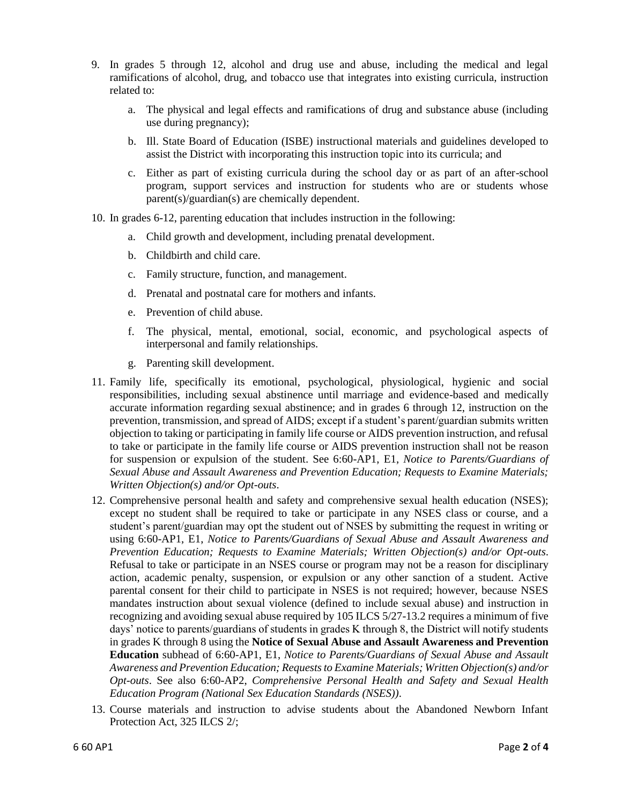- 9. In grades 5 through 12, alcohol and drug use and abuse, including the medical and legal ramifications of alcohol, drug, and tobacco use that integrates into existing curricula, instruction related to:
	- a. The physical and legal effects and ramifications of drug and substance abuse (including use during pregnancy);
	- b. Ill. State Board of Education (ISBE) instructional materials and guidelines developed to assist the District with incorporating this instruction topic into its curricula; and
	- c. Either as part of existing curricula during the school day or as part of an after-school program, support services and instruction for students who are or students whose parent(s)/guardian(s) are chemically dependent.
- 10. In grades 6-12, parenting education that includes instruction in the following:
	- a. Child growth and development, including prenatal development.
	- b. Childbirth and child care.
	- c. Family structure, function, and management.
	- d. Prenatal and postnatal care for mothers and infants.
	- e. Prevention of child abuse.
	- f. The physical, mental, emotional, social, economic, and psychological aspects of interpersonal and family relationships.
	- g. Parenting skill development.
- 11. Family life, specifically its emotional, psychological, physiological, hygienic and social responsibilities, including sexual abstinence until marriage and evidence-based and medically accurate information regarding sexual abstinence; and in grades 6 through 12, instruction on the prevention, transmission, and spread of AIDS; except if a student's parent/guardian submits written objection to taking or participating in family life course or AIDS prevention instruction, and refusal to take or participate in the family life course or AIDS prevention instruction shall not be reason for suspension or expulsion of the student. See 6:60-AP1, E1, *Notice to Parents/Guardians of Sexual Abuse and Assault Awareness and Prevention Education; Requests to Examine Materials; Written Objection(s) and/or Opt-outs*.
- 12. Comprehensive personal health and safety and comprehensive sexual health education (NSES); except no student shall be required to take or participate in any NSES class or course, and a student's parent/guardian may opt the student out of NSES by submitting the request in writing or using 6:60-AP1, E1, *Notice to Parents/Guardians of Sexual Abuse and Assault Awareness and Prevention Education; Requests to Examine Materials; Written Objection(s) and/or Opt-outs*. Refusal to take or participate in an NSES course or program may not be a reason for disciplinary action, academic penalty, suspension, or expulsion or any other sanction of a student. Active parental consent for their child to participate in NSES is not required; however, because NSES mandates instruction about sexual violence (defined to include sexual abuse) and instruction in recognizing and avoiding sexual abuse required by 105 ILCS 5/27-13.2 requires a minimum of five days' notice to parents/guardians of students in grades K through 8, the District will notify students in grades K through 8 using the **Notice of Sexual Abuse and Assault Awareness and Prevention Education** subhead of 6:60-AP1, E1, *Notice to Parents/Guardians of Sexual Abuse and Assault Awareness and Prevention Education; Requests to Examine Materials; Written Objection(s) and/or Opt-outs*. See also 6:60-AP2, *Comprehensive Personal Health and Safety and Sexual Health Education Program (National Sex Education Standards (NSES))*.
- 13. Course materials and instruction to advise students about the Abandoned Newborn Infant Protection Act, 325 ILCS 2/;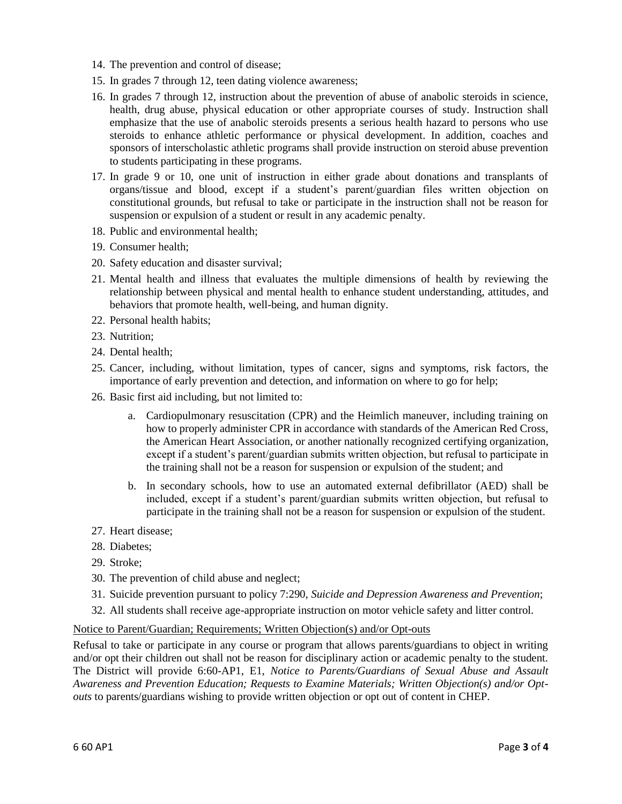- 14. The prevention and control of disease;
- 15. In grades 7 through 12, teen dating violence awareness;
- 16. In grades 7 through 12, instruction about the prevention of abuse of anabolic steroids in science, health, drug abuse, physical education or other appropriate courses of study. Instruction shall emphasize that the use of anabolic steroids presents a serious health hazard to persons who use steroids to enhance athletic performance or physical development. In addition, coaches and sponsors of interscholastic athletic programs shall provide instruction on steroid abuse prevention to students participating in these programs.
- 17. In grade 9 or 10, one unit of instruction in either grade about donations and transplants of organs/tissue and blood, except if a student's parent/guardian files written objection on constitutional grounds, but refusal to take or participate in the instruction shall not be reason for suspension or expulsion of a student or result in any academic penalty.
- 18. Public and environmental health;
- 19. Consumer health;
- 20. Safety education and disaster survival;
- 21. Mental health and illness that evaluates the multiple dimensions of health by reviewing the relationship between physical and mental health to enhance student understanding, attitudes, and behaviors that promote health, well-being, and human dignity.
- 22. Personal health habits;
- 23. Nutrition;
- 24. Dental health;
- 25. Cancer, including, without limitation, types of cancer, signs and symptoms, risk factors, the importance of early prevention and detection, and information on where to go for help;
- 26. Basic first aid including, but not limited to:
	- a. Cardiopulmonary resuscitation (CPR) and the Heimlich maneuver, including training on how to properly administer CPR in accordance with standards of the American Red Cross, the American Heart Association, or another nationally recognized certifying organization, except if a student's parent/guardian submits written objection, but refusal to participate in the training shall not be a reason for suspension or expulsion of the student; and
	- b. In secondary schools, how to use an automated external defibrillator (AED) shall be included, except if a student's parent/guardian submits written objection, but refusal to participate in the training shall not be a reason for suspension or expulsion of the student.
- 27. Heart disease;
- 28. Diabetes;
- 29. Stroke;
- 30. The prevention of child abuse and neglect;
- 31. Suicide prevention pursuant to policy 7:290, *Suicide and Depression Awareness and Prevention*;
- 32. All students shall receive age-appropriate instruction on motor vehicle safety and litter control.

## Notice to Parent/Guardian; Requirements; Written Objection(s) and/or Opt-outs

Refusal to take or participate in any course or program that allows parents/guardians to object in writing and/or opt their children out shall not be reason for disciplinary action or academic penalty to the student. The District will provide 6:60-AP1, E1, *Notice to Parents/Guardians of Sexual Abuse and Assault Awareness and Prevention Education; Requests to Examine Materials; Written Objection(s) and/or Optouts* to parents/guardians wishing to provide written objection or opt out of content in CHEP.